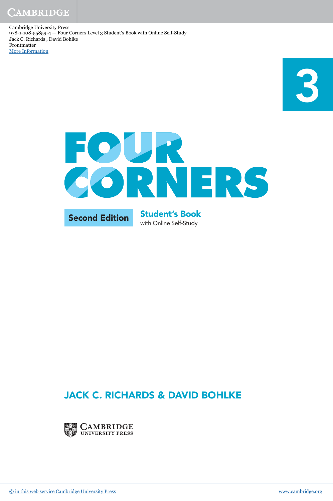3



### JACK C. RICHARDS & DAVID BOHLKE

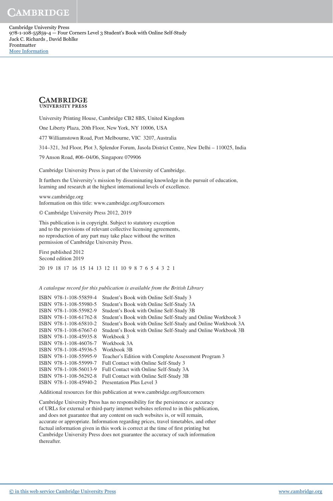CAMBRIDGE

Cambridge University Press 978-1-108-55859-4 — Four Corners Level 3 Student's Book with Online Self-Study Jack C. Richards , David Bohlke Frontmatter [More Information](www.cambridge.org/9781108558594)

### **CAMBRIDGE UNIVERSITY PRESS**

University Printing House, Cambridge CB2 8BS, United Kingdom

One Liberty Plaza, 20th Floor, New York, NY 10006, USA

477 Williamstown Road, Port Melbourne, VIC 3207, Australia

314–321, 3rd Floor, Plot 3, Splendor Forum, Jasola District Centre, New Delhi – 110025, India

79 Anson Road, #06–04/06, Singapore 079906

Cambridge University Press is part of the University of Cambridge.

It furthers the University's mission by disseminating knowledge in the pursuit of education, learning and research at the highest international levels of excellence.

www.cambridge.org Information on this title: www.cambridge.org/fourcorners

© Cambridge University Press 2012, 2019

This publication is in copyright. Subject to statutory exception and to the provisions of relevant collective licensing agreements, no reproduction of any part may take place without the written permission of Cambridge University Press.

First published 2012 Second edition 2019 20 19 18 17 16 15 14 13 12 11 10 9 8 7 6 5 4 3 2 1

#### *A catalogue record for this publication is available from the British Library*

| ISBN 978-1-108-55859-4 | Student's Book with Online Self-Study 3                      |
|------------------------|--------------------------------------------------------------|
| ISBN 978-1-108-55980-5 | Student's Book with Online Self-Study 3A                     |
| ISBN 978-1-108-55982-9 | Student's Book with Online Self-Study 3B                     |
| ISBN 978-1-108-61762-8 | Student's Book with Online Self-Study and Online Workbook 3  |
| ISBN 978-1-108-65810-2 | Student's Book with Online Self-Study and Online Workbook 3A |
| ISBN 978-1-108-67667-0 | Student's Book with Online Self-Study and Online Workbook 3B |
| ISBN 978-1-108-45935-8 | Workbook 3                                                   |
| ISBN 978-1-108-46076-7 | Workbook 3A                                                  |
| ISBN 978-1-108-45936-5 | Workbook 3B                                                  |
| ISBN 978-1-108-55995-9 | Teacher's Edition with Complete Assessment Program 3         |
| ISBN 978-1-108-55999-7 | Full Contact with Online Self-Study 3                        |
| ISBN 978-1-108-56013-9 | Full Contact with Online Self-Study 3A                       |
| ISBN 978-1-108-56292-8 | Full Contact with Online Self-Study 3B                       |
| ISBN 978-1-108-45940-2 | Presentation Plus Level 3                                    |
|                        |                                                              |

Additional resources for this publication at www.cambridge.org/fourcorners

Cambridge University Press has no responsibility for the persistence or accuracy of URLs for external or third-party internet websites referred to in this publication, and does not guarantee that any content on such websites is, or will remain, accurate or appropriate. Information regarding prices, travel timetables, and other factual information given in this work is correct at the time of first printing but Cambridge University Press does not guarantee the accuracy of such information thereafter.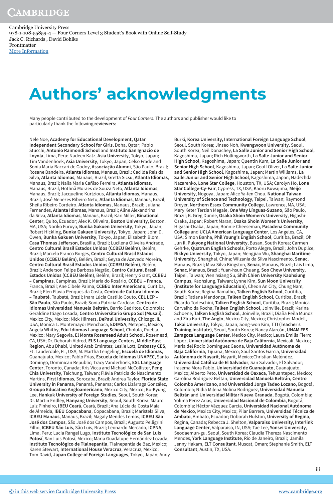# **Authors' acknowledgments**

Many people contributed to the development of *Four Corners*. The authors and publisher would like to particularly thank the following **reviewers**:

Nele Noe, **Academy for Educational Development, Qatar Independent Secondary School for Girls**, Doha, Qatar; Pablo Stucchi, **Antonio Raimondi School** and **Instituto San Ignacio de Loyola**, Lima, Peru; Nadeen Katz, **Asia University**, Tokyo, Japan; Tim Vandenhoek, **Asia University**, Tokyo, Japan; Celso Frade and Sonia Maria Baccari de Godoy, **Associação Alumni**, São Paulo, Brazil; Rosane Bandeira, **Atlanta Idiomas**, Manaus, Brazil; Cacilda Reis da Silva, **Atlanta Idiomas**, Manaus, Brazil; Gretta Sicsu, **Atlanta Idiomas**, Manaus, Brazil; Naila Maria Cañiso Ferreira, **Atlanta Idiomas**, Manaus, Brazil; Hothnã Moraes de Souza Neto, **Atlanta Idiomas**, Manaus, Brazil; Jacqueline Kurtzious, **Atlanta Idiomas**, Manaus, Brazil; José Menezes Ribeiro Neto, **Atlanta Idiomas**, Manaus, Brazil; Sheila Ribeiro Cordeiro, **Atlanta Idiomas**, Manaus, Brazil; Juliana Fernandes, **Atlanta Idiomas**, Manaus, Brazil; Aline Alexandrina da Silva, **Atlanta Idiomas**, Manaus, Brazil; Kari Miller, **Binational Center**, Quito, Ecuador; Alex K. Oliveira, **Boston University**, Boston, MA, USA; Noriko Furuya, **Bunka Gakuen University**, Tokyo, Japan; Robert Hickling, **Bunka Gakuen University**, Tokyo, Japan; John D. Owen, **Bunka Gakuen University**, Tokyo, Japan; Elisabeth Blom, **Casa Thomas Jeferson**, Brasília, Brazil; Lucilena Oliveira Andrade, **Centro Cultural Brasil Estados Unidos (CCBEU Belém)**, Belém, Brazil; Marcelo Franco Borges, **Centro Cultural Brasil Estados Unidos (CCBEU Belém)**, Belém, Brazil; Geysa de Azevedo Moreira, **Centro Cultural Brasil Estados Unidos (CCBEU Belém)**, Belém, Brazil; Anderson Felipe Barbosa Negrão, **Centro Cultural Brasil Estados Unidos (CCBEU Belém)**, Belém, Brazil; Henry Grant, **CCBEU – Campinas**, Campinas, Brazil; Maria do Rosário, **CCBEU – Franca**, Franca, Brazil; Ane Cibele Palma, **CCBEU Inter Americano**, Curitiba, Brazil; Elen Flavia Penques da Costa, **Centro de Cultura Idiomas – Taubaté**, Taubaté, Brazil; Inara Lúcia Castillo Couto, **CEL LEP – São Paulo**, São Paulo, Brazil; Sonia Patricia Cardoso, **Centro de Idiomas Universidad Manuela Beltrán**, Barrio Cedritos, Colombia; Geraldine Itiago Losada, **Centro Universitario Grupo Sol (Musali)**, Mexico City, Mexico; Nick Hilmers, **DePaul University**, Chicago, IL, USA; Monica L. Montemayor Menchaca, **EDIMSA**, Metepec, Mexico; Angela Whitby, **Edu-Idiomas Language School**, Cholula, Puebla, Mexico; Mary Segovia, **El Monte Rosemead Adult School**, Rosemead, CA, USA; Dr. Deborah Aldred, **ELS Language Centers, Middle East Region**, Abu Dhabi, United Arab Emirates; Leslie Lott, **Embassy CES**, Ft. Lauderdale, FL, USA; M. Martha Lengeling, **Escuela de Idiomas**, Guanajuato, Mexico; Pablo Frias, **Escuela de Idiomas UNAPEC**, Santo Domingo, Dominican Republic; Tracy Vanderhoek, **ESL Language Center**, Toronto, Canada; Kris Vicca and Michael McCollister, **Feng Chia University**, Taichung, Taiwan; Flávia Patricia do Nascimento Martins, **First Idiomas**, Sorocaba, Brazil; Andrea Taylor, **Florida State University in Panama**, Panamá, Panama; Carlos Lizárraga González, **Groupo Educativo Angloamericano**, Mexico City, Mexico; Bo-Kyung Lee, **Hankuk University of Foreign Studies**, Seoul, South Korea; Dr. Martin Endley, **Hanyang University**, Seoul, South Korea; Mauro Luiz Pinheiro, **IBEU Ceará**, Ceará, Brazil; Ana Lúcia da Costa Maia de Almeida, **IBEU Copacabana**, Copacabana, Brazil; Maristela Silva, **ICBEU Manaus**, Manaus, Brazil; Magaly Mendes Lemos, **ICBEU São José dos Campos**, São José dos Campos, Brazil; Augusto Pelligrini Filho, **ICBEU São Luis**, São Luis, Brazil; Leonardo Mercado, **ICPNA**, Lima, Peru; Lucia Rangel Lugo, **Instituto Tecnológico de San Luis Potosí**, San Luis Potosí, Mexico; Maria Guadalupe Hernández Lozada, **Instituto Tecnológico de Tlalnepantla**, Tlalnepantla de Baz, Mexico; Karen Stewart, **International House Veracruz**, Veracruz, Mexico; Tom David, **Japan College of Foreign Languages**, Tokyo, Japan; Andy Burki, **Korea University, International Foreign Language School**, Seoul, South Korea; Jinseo Noh, **Kwangwoon University**, Seoul, South Korea; Neil Donachey, **La Salle Junior and Senior High School**, Kagoshima, Japan; Rich Hollingworth, **La Salle Junior and Senior High School**, Kagoshima, Japan; Quentin Kum, **La Salle Junior and Senior High School**, Kagoshima, Japan; Geof Oliver, **La Salle Junior and Senior High School**, Kagoshima, Japan; Martin Williams, **La Salle Junior and Senior High School**, Kagoshima, Japan; Nadezhda Nazarenko, **Lone Star College**, Houston, TX, USA; Carolyn Ho, **Lone Star College-Cy-Fair**, Cypress, TX, USA; Kaoru Kuwajima, **Meijo University**, Nogoya, Japan; Alice Ya-fen Chou, **National Taiwan University of Science and Technology**, Taipei, Taiwan; Raymond Dreyer, **Northern Essex Community College**, Lawrence, MA, USA; Mary Keter Terzian Megale, **One Way Línguas-Suzano**, São Paulo, Brazil; B. Greg Dunne, **Osaka Shoin Women's University**, Higashi-Osaka, Japan; Robert Maran, **Osaka Shoin Women's University**, Higashi-Osaka, Japan; Bonnie Cheeseman, **Pasadena Community College** and **UCLA American Language Center**, Los Angeles, CA, USA; Simon Banha, **Phil Young's English School**, Curitiba, Brazil; Oh Jun Il, **Pukyong National University**, Busan, South Korea; Carmen Gehrke, **Quatrum English Schools**, Porto Alegre, Brazil; John Duplice, **Rikkyo University**, Tokyo, Japan; Mengjiao Wu, **Shanghai Maritime University**, Shanghai, China; Wilzania da Silva Nascimento, **Senac**, Manaus, Brazil; Miva Silva Kingston, **Senac**, Manaus, Brazil; Lais Lima, **Senac**, Manaus, Brazil; Yuan-hsun Chuang, **Soo Chow University**, Taipei, Taiwan; Wen hsiang Su, **Shih Chien University Kaohsiung Campus**, Kaohsiung, Taiwan; Lynne Kim, **Sun Moon University (Institute for Language Education)**, Cheon An City, Chung Nam, South Korea; Regina Ramalho, **Talken English School**, Curitiba, Brazil; Tatiana Mendonça, **Talken English School**, Curitiba, Brazil; Ricardo Todeschini, **Talken English School**, Curitiba, Brazil; Monica Carvalho da Rocha, **Talken English School**, Joinville, Brazil; Karina Schoene, **Talken English School**, Joinville, Brazil; Diaña Peña Munoz and Zira Kuri, **The Anglo**, Mexico City, Mexico; Christopher Modell, **Tokai University**, Tokyo, Japan; Song-won Kim, **TTI (Teacher's Training Institute)**, Seoul, South Korea; Nancy Alarcón, **UNAM FES Zaragoza Language Center**, Mexico City, Mexico; Laura Emilia Fierro López, **Universidad Autónoma de Baja California**, Mexicali, Mexico; María del Rocío Domínguez Gaona, **Universidad Autónoma de Baja California**, Tijuana, Mexico; Saul Santos Garcia, **Universidad Autónoma de Nayarit**, Nayarit, Mexico;Christian Meléndez, **Universidad Católica de El Salvador**, San Salvador, El Salvador; Irasema Mora Pablo, **Universidad de Guanajuato**, Guanajuato, Mexico; Alberto Peto, **Universidad de Oaxaca**, Tehuantepec, Mexico; Carolina Rodriguez Beltan, **Universidad Manuela Beltrán, Centro Colombo Americano**, and **Universidad Jorge Tadeo Lozano**, Bogotá, Colombia; Nidia Milena Molina Rodriguez, **Universidad Manuela Beltrán** and **Universidad Militar Nueva Granada**, Bogotá, Colombia; Yolima Perez Arias, **Universidad Nacional de Colombia**, Bogotá, Colombia; Héctor Vázquez García, **Universidad Nacional Autónoma de Mexico**, Mexico City, Mexico; Pilar Barrera, **Universidad Técnica de Ambato**, Ambato, Ecuador; Doborah Hulston, **University of Regina**, Regina, Canada; Rebecca J. Shelton, **Valparaiso University, Interlink Language Center**, Valparaiso, IN, USA; Tae Lee, **Yonsei University**, Seodaemun-gu, Seoul, South Korea; Claudia Thereza Nascimento Mendes, **York Language Institute**, Rio de Janeiro, Brazil; Jamila Jenny Hakam, **ELT Consultant**, Muscat, Oman; Stephanie Smith, **ELT Consultant**, Austin, TX, USA.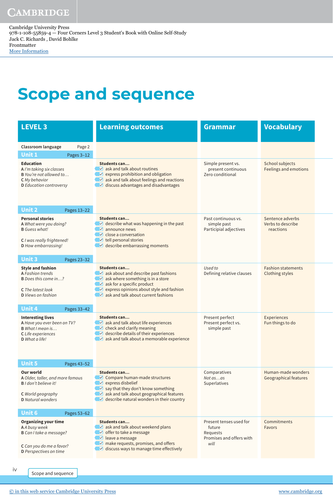## **Scope and sequence**

| <b>LEVEL 3</b>                                                                                                                                                    | <b>Learning outcomes</b>                                                                                                                                                                                                      | <b>Grammar</b>                                                                    | <b>Vocabulary</b>                               |
|-------------------------------------------------------------------------------------------------------------------------------------------------------------------|-------------------------------------------------------------------------------------------------------------------------------------------------------------------------------------------------------------------------------|-----------------------------------------------------------------------------------|-------------------------------------------------|
| Classroom language<br>Page 2                                                                                                                                      |                                                                                                                                                                                                                               |                                                                                   |                                                 |
| Unit 1<br>Pages 3-12                                                                                                                                              |                                                                                                                                                                                                                               |                                                                                   |                                                 |
| <b>Education</b><br>A I'm taking six classes<br>B You're not allowed to<br><b>C</b> My behavior<br><b>D</b> Education controversy<br><b>Unit 2</b><br>Pages 13-22 | Students can<br>$\vee$ ask and talk about routines<br>$\vee$ express prohibition and obligation<br>$\vee$ ask and talk about feelings and reactions<br>$\vee$ discuss advantages and disadvantages                            | Simple present vs.<br>present continuous<br>Zero conditional                      | School subjects<br><b>Feelings and emotions</b> |
| <b>Personal stories</b>                                                                                                                                           | Students can                                                                                                                                                                                                                  | Past continuous vs.                                                               | Sentence adverbs                                |
| A What were you doing?<br><b>B</b> Guess what!<br>C I was really frightened!<br>D How embarrassing!<br><b>Unit 3</b><br>Pages 23-32                               | $\vee$ describe what was happening in the past<br>$\vee$ announce news<br>$\vee$ close a conversation<br>$\vee$ tell personal stories<br>$\vee$ describe embarrassing moments                                                 | simple past<br>Participial adjectives                                             | Verbs to describe<br>reactions                  |
| <b>Style and fashion</b>                                                                                                                                          | Students can                                                                                                                                                                                                                  | Used to                                                                           | <b>Fashion statements</b>                       |
| <b>A Fashion trends</b><br>B Does this come in?<br><b>C</b> The latest look<br><b>D</b> Views on fashion<br><b>Unit 4</b><br>Pages 33-42                          | $\vee$ ask about and describe past fashions<br>$\vee$ ask where something is in a store<br>$\vee$ ask for a specific product<br>$\vee$ express opinions about style and fashion<br>$\vee$ ask and talk about current fashions | Defining relative clauses                                                         | <b>Clothing styles</b>                          |
| <b>Interesting lives</b>                                                                                                                                          | Students can                                                                                                                                                                                                                  | Present perfect                                                                   | <b>Experiences</b>                              |
| A Have you ever been on TV?<br><b>B</b> What I mean is<br>C Life experiences<br>D What a life!<br>Unit 5<br>Pages 43-52                                           | $\vee$ ask and talk about life experiences<br>$\triangleright$ check and clarify meaning<br>$\vee$ describe details of their experiences<br>$\vee$ ask and talk about a memorable experience                                  | Present perfect vs.<br>simple past                                                | Fun things to do                                |
| <b>Our world</b>                                                                                                                                                  | Students can                                                                                                                                                                                                                  | Comparatives                                                                      | Human-made wonders                              |
| A Older, taller, and more famous<br><b>B</b> I don't believe it!                                                                                                  | $\vee$ Compare human-made structures<br>$\vee$ express disbelief                                                                                                                                                              | Not asas<br>Superlatives                                                          | Geographical features                           |
| C World geography<br><b>D</b> Natural wonders                                                                                                                     | $\vee$ say that they don't know something<br>$\vee$ ask and talk about geographical features<br>$\vee$ describe natural wonders in their country                                                                              |                                                                                   |                                                 |
| <b>Unit 6</b><br>Pages 53-62                                                                                                                                      |                                                                                                                                                                                                                               |                                                                                   |                                                 |
| <b>Organizing your time</b><br>A A busy week<br>B Can I take a message?<br>C Can you do me a favor?<br>D Perspectives on time                                     | Students can<br>$\vee$ ask and talk about weekend plans<br>$\vee$ offer to take a message<br>$\vee$ leave a message<br>$\triangleright$ make requests, promises, and offers<br>$\vee$ discuss ways to manage time effectively | Present tenses used for<br>future<br>Requests<br>Promises and offers with<br>will | Commitments<br><b>Favors</b>                    |
|                                                                                                                                                                   |                                                                                                                                                                                                                               |                                                                                   |                                                 |

Scope and sequence

iv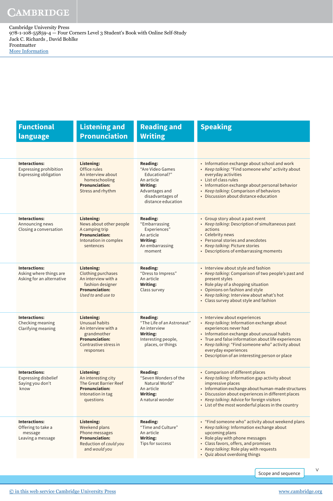| <b>Functional</b><br>language                                                         | <b>Listening and</b><br><b>Pronunciation</b>                                                                                      | <b>Reading and</b><br><b>Writing</b>                                                                                                              | <b>Speaking</b>                                                                                                                                                                                                                                                                                                                            |
|---------------------------------------------------------------------------------------|-----------------------------------------------------------------------------------------------------------------------------------|---------------------------------------------------------------------------------------------------------------------------------------------------|--------------------------------------------------------------------------------------------------------------------------------------------------------------------------------------------------------------------------------------------------------------------------------------------------------------------------------------------|
|                                                                                       |                                                                                                                                   |                                                                                                                                                   |                                                                                                                                                                                                                                                                                                                                            |
| <b>Interactions:</b><br><b>Expressing prohibition</b><br><b>Expressing obligation</b> | Listening:<br>Office rules<br>An interview about<br>homeschooling<br><b>Pronunciation:</b><br>Stress and rhythm                   | <b>Reading:</b><br>"Are Video Games<br>Educational?"<br>An article<br><b>Writing:</b><br>Advantages and<br>disadvantages of<br>distance education | • Information exchange about school and work<br>• Keep talking: "Find someone who" activity about<br>everyday activities<br>• List of class rules<br>• Information exchange about personal behavior<br>• Keep talking: Comparison of behaviors<br>• Discussion about distance education                                                    |
| <b>Interactions:</b><br>Announcing news<br>Closing a conversation                     | Listening:<br>News about other people<br>A camping trip<br><b>Pronunciation:</b><br>Intonation in complex<br>sentences            | <b>Reading:</b><br>"Embarrassing<br>Experiences"<br>An article<br><b>Writing:</b><br>An embarrassing<br>moment                                    | • Group story about a past event<br>• Keep talking: Description of simultaneous past<br>actions<br>• Celebrity news<br>• Personal stories and anecdotes<br>• Keep talking: Picture stories<br>• Descriptions of embarrassing moments                                                                                                       |
| <b>Interactions:</b><br>Asking where things are<br>Asking for an alternative          | Listening:<br><b>Clothing purchases</b><br>An interview with a<br>fashion designer<br><b>Pronunciation:</b><br>Used to and use to | <b>Reading:</b><br>"Dress to Impress"<br>An article<br><b>Writing:</b><br>Class survey                                                            | • Interview about style and fashion<br>• Keep talking: Comparison of two people's past and<br>present styles<br>• Role play of a shopping situation<br>• Opinions on fashion and style<br>• Keep talking: Interview about what's hot<br>• Class survey about style and fashion                                                             |
| <b>Interactions:</b><br>Checking meaning<br>Clarifying meaning                        | Listening:<br>Unusual habits<br>An interview with a<br>grandmother<br><b>Pronunciation:</b><br>Contrastive stress in<br>responses | <b>Reading:</b><br>"The Life of an Astronaut"<br>An interview<br><b>Writing:</b><br>Interesting people,<br>places, or things                      | • Interview about experiences<br>• Keep talking: Information exchange about<br>experiences never had<br>• Information exchange about unusual habits<br>• True and false information about life experiences<br>• Keep talking: "Find someone who" activity about<br>everyday experiences<br>• Description of an interesting person or place |
| <b>Interactions:</b><br><b>Expressing disbelief</b><br>Saying you don't<br>know       | <b>Listening:</b><br>An interesting city<br>The Great Barrier Reef<br><b>Pronunciation:</b><br>Intonation in tag<br>questions     | <b>Reading:</b><br>"Seven Wonders of the<br>Natural World"<br>An article<br><b>Writing:</b><br>A natural wonder                                   | • Comparison of different places<br>• Keep talking: Information gap activity about<br>impressive places<br>• Information exchange about human-made structures<br>• Discussion about experiences in different places<br>• Keep talking: Advice for foreign visitors<br>• List of the most wonderful places in the country                   |
| <b>Interactions:</b><br>Offering to take a<br>message<br>Leaving a message            | Listening:<br>Weekend plans<br>Phone messages<br><b>Pronunciation:</b><br>Reduction of could you<br>and would you                 | <b>Reading:</b><br>"Time and Culture"<br>An article<br><b>Writing:</b><br>Tips for success                                                        | • "Find someone who" activity about weekend plans<br>• Keep talking: Information exchange about<br>upcoming plans<br>• Role play with phone messages<br>• Class favors, offers, and promises<br>• Keep talking: Role play with requests<br>• Quiz about overdoing things                                                                   |

Scope and sequence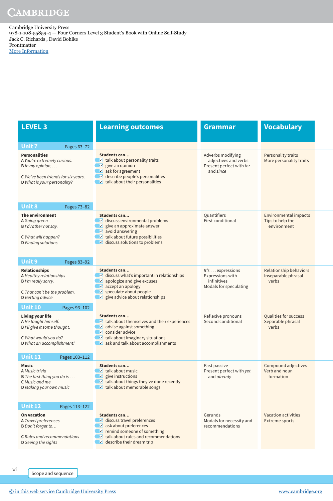| <b>LEVEL 3</b>                                                                                                                                                                                                                                                                                              | <b>Learning outcomes</b>                                                                                                                                                                               | <b>Grammar</b>                                                                     | <b>Vocabulary</b>                                             |
|-------------------------------------------------------------------------------------------------------------------------------------------------------------------------------------------------------------------------------------------------------------------------------------------------------------|--------------------------------------------------------------------------------------------------------------------------------------------------------------------------------------------------------|------------------------------------------------------------------------------------|---------------------------------------------------------------|
| <b>Unit 7</b><br>Pages 63-72                                                                                                                                                                                                                                                                                |                                                                                                                                                                                                        |                                                                                    |                                                               |
| <b>Personalities</b><br>A You're extremely curious.<br>$B \ln my$ opinion,<br>C We've been friends for six years.<br>D What is your personality?<br><b>Unit 8</b><br>Pages 73-82                                                                                                                            | Students can<br>$\vee$ talk about personality traits<br>$\vee$ give an opinion<br>$\vee$ ask for agreement<br>$\vee$ describe people's personalities<br>$\vee$ talk about their personalities          | Adverbs modifying<br>adjectives and verbs<br>Present perfect with for<br>and since | Personality traits<br>More personality traits                 |
| The environment                                                                                                                                                                                                                                                                                             | <b>Students can</b>                                                                                                                                                                                    | Quantifiers                                                                        | <b>Environmental impacts</b>                                  |
| A Going green<br>B I'd rather not say.<br>C What will happen?<br><b>D</b> Finding solutions                                                                                                                                                                                                                 | $\vee$ discuss environmental problems<br>$\vee$ give an approximate answer<br>$\vee$ avoid answering<br>$\vee$ talk about future possibilities<br>$\vee$ discuss solutions to problems                 | <b>First conditional</b>                                                           | Tips to help the<br>environment                               |
| <b>Unit 9</b><br>Pages 83-92                                                                                                                                                                                                                                                                                | Students can                                                                                                                                                                                           |                                                                                    |                                                               |
| <b>Relationships</b><br>A Healthy relationships<br><b>B</b> I'm really sorry.<br>C That can't be the problem.<br><b>D</b> Getting advice<br><b>Unit 10</b><br>Pages 93-102                                                                                                                                  | $\vee$ discuss what's important in relationships<br>$\vee$ apologize and give excuses<br>$\vee$ accept an apology<br>$\vee$ speculate about people<br>$\vee$ give advice about relationships           | $lt's$ expressions<br>Expressions with<br>infinitives<br>Modals for speculating    | <b>Relationship behaviors</b><br>Inseparable phrasal<br>verbs |
| Living your life                                                                                                                                                                                                                                                                                            | Students can                                                                                                                                                                                           | Reflexive pronouns                                                                 | Qualities for success                                         |
| A He taught himself.<br>B I'll give it some thought.<br>C What would you do?<br>D What an accomplishment!<br><b>Unit 11</b><br>Pages 103-112                                                                                                                                                                | $\vee$ talk about themselves and their experiences<br>$\vee$ advise against something<br>$\vee$ consider advice<br>$\vee$ talk about imaginary situations<br>$\vee$ ask and talk about accomplishments | Second conditional                                                                 | Separable phrasal<br>verbs                                    |
| <b>Music</b>                                                                                                                                                                                                                                                                                                | Students can                                                                                                                                                                                           | Past passive                                                                       | Compound adjectives                                           |
| A Music trivia<br><b>B</b> The first thing you do is<br><b>C</b> Music and me<br><b>D</b> Making your own music<br><b>Unit 12</b><br>Pages 113-122                                                                                                                                                          | $\vee$ talk about music<br>$\vee$ give instructions<br>$\triangleright$ talk about things they've done recently<br>$\triangleright$ talk about memorable songs                                         | Present perfect with yet<br>and already                                            | Verb and noun<br>formation                                    |
| <b>On vacation</b>                                                                                                                                                                                                                                                                                          | Students can                                                                                                                                                                                           | Gerunds                                                                            | <b>Vacation activities</b>                                    |
| $\vee$ discuss travel preferences<br>A Travel preferences<br>$\vee$ ask about preferences<br>B Don't forget to<br>$\vee$ remind someone of something<br>$\vee$ talk about rules and recommendations<br><b>C</b> Rules and recommendations<br>$\vee$ describe their dream trip<br><b>D</b> Seeing the sights |                                                                                                                                                                                                        | Modals for necessity and<br>recommendations                                        | <b>Extreme sports</b>                                         |

vi